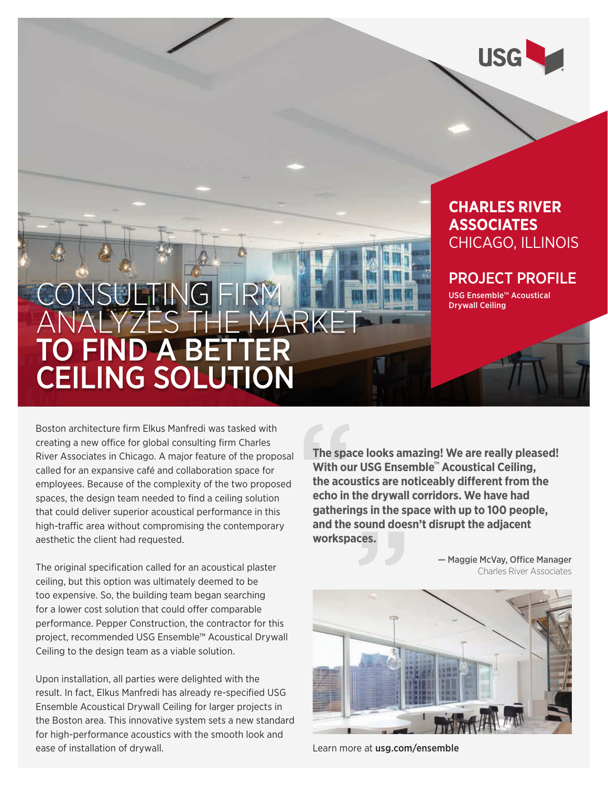

### **CHARLES RIVER ASSOCIATES**  CHICAGO, ILLINOIS

### PROJECT PROFILE

USG Ensemble™ Acoustical Drywall Ceiling

# ONSULTING FIRM<br>NALYZES THE MARKE ANALYZES TH TO FIND A BETTER CEILING SOLUTION

Boston architecture firm Elkus Manfredi was tasked with creating a new office for global consulting firm Charles River Associates in Chicago. A major feature of the proposal called for an expansive café and collaboration space for employees. Because of the complexity of the two proposed spaces, the design team needed to find a ceiling solution that could deliver superior acoustical performance in this high-traffic area without compromising the contemporary aesthetic the client had requested.

The original specification called for an acoustical plaster ceiling, but this option was ultimately deemed to be too expensive. So, the building team began searching for a lower cost solution that could offer comparable performance. Pepper Construction, the contractor for this project, recommended USG Ensemble™ Acoustical Drywall Ceiling to the design team as a viable solution.

Upon installation, all parties were delighted with the result. In fact, Elkus Manfredi has already re-specified USG Ensemble Acoustical Drywall Ceiling for larger projects in the Boston area. This innovative system sets a new standard for high-performance acoustics with the smooth look and ease of installation of drywall.

**The space looks amazing! We are really pleased! With our USG Ensemble**™ **Acoustical Ceiling, the acoustics are noticeably different from the echo in the drywall corridors. We have had gatherings in the space with up to 100 people, and the sound doesn't disrupt the adjacent workspaces.**

> — Maggie McVay, Office Manager Charles River Associates



Learn more at usg.com/ensemble